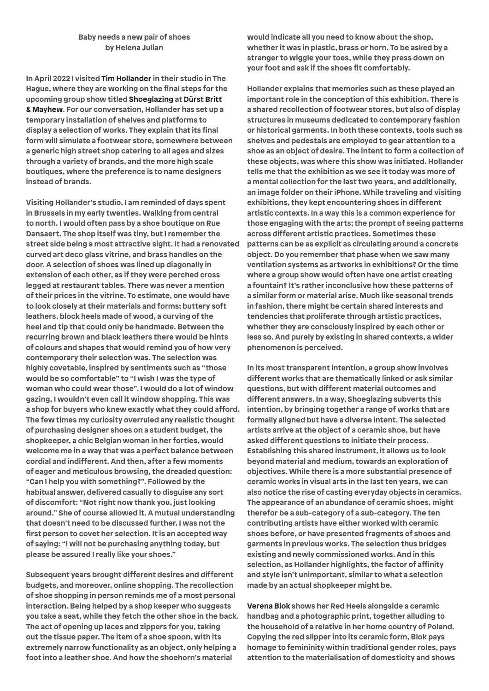## **Baby needs a new pair of shoes by Helena Julian**

**In April 2022 I visited Tim Hollander in their studio in The Hague, where they are working on the final steps for the upcoming group show titled Shoeglazing at Dürst Britt & Mayhew. For our conversation, Hollander has set up a temporary installation of shelves and platforms to display a selection of works. They explain that its final form will simulate a footwear store, somewhere between a generic high street shop catering to all ages and sizes through a variety of brands, and the more high scale boutiques, where the preference is to name designers instead of brands.** 

**Visiting Hollander's studio, I am reminded of days spent in Brussels in my early twenties. Walking from central to north, I would often pass by a shoe boutique on Rue Dansaert. The shop itself was tiny, but I remember the street side being a most attractive sight. It had a renovated curved art deco glass vitrine, and brass handles on the door. A selection of shoes was lined up diagonally in extension of each other, as if they were perched cross legged at restaurant tables. There was never a mention of their prices in the vitrine. To estimate, one would have to look closely at their materials and forms; buttery soft leathers, block heels made of wood, a curving of the heel and tip that could only be handmade. Between the recurring brown and black leathers there would be hints of colours and shapes that would remind you of how very contemporary their selection was. The selection was highly covetable, inspired by sentiments such as "those would be so comfortable" to "I wish I was the type of woman who could wear those". I would do a lot of window gazing, I wouldn't even call it window shopping. This was a shop for buyers who knew exactly what they could afford. The few times my curiosity overruled any realistic thought of purchasing designer shoes on a student budget, the shopkeeper, a chic Belgian woman in her forties, would welcome me in a way that was a perfect balance between cordial and indifferent. And then, after a few moments of eager and meticulous browsing, the dreaded question: "Can I help you with something?". Followed by the habitual answer, delivered casually to disguise any sort of discomfort: "Not right now thank you, just looking around." She of course allowed it. A mutual understanding that doesn't need to be discussed further. I was not the first person to covet her selection. It is an accepted way of saying: "I will not be purchasing anything today, but please be assured I really like your shoes."** 

**Subsequent years brought different desires and different budgets, and moreover, online shopping. The recollection of shoe shopping in person reminds me of a most personal interaction. Being helped by a shop keeper who suggests you take a seat, while they fetch the other shoe in the back. The act of opening up laces and zippers for you, taking out the tissue paper. The item of a shoe spoon, with its extremely narrow functionality as an object, only helping a foot into a leather shoe. And how the shoehorn's material** 

**would indicate all you need to know about the shop, whether it was in plastic, brass or horn. To be asked by a stranger to wiggle your toes, while they press down on your foot and ask if the shoes fit comfortably.**

**Hollander explains that memories such as these played an important role in the conception of this exhibition. There is a shared recollection of footwear stores, but also of display structures in museums dedicated to contemporary fashion or historical garments. In both these contexts, tools such as shelves and pedestals are employed to gear attention to a shoe as an object of desire. The intent to form a collection of these objects, was where this show was initiated. Hollander tells me that the exhibition as we see it today was more of a mental collection for the last two years, and additionally, an image folder on their iPhone. While traveling and visiting exhibitions, they kept encountering shoes in different artistic contexts. In a way this is a common experience for those engaging with the arts; the prompt of seeing patterns across different artistic practices. Sometimes these patterns can be as explicit as circulating around a concrete object. Do you remember that phase when we saw many ventilation systems as artworks in exhibitions? Or the time where a group show would often have one artist creating a fountain? It's rather inconclusive how these patterns of a similar form or material arise. Much like seasonal trends in fashion, there might be certain shared interests and tendencies that proliferate through artistic practices, whether they are consciously inspired by each other or less so. And purely by existing in shared contexts, a wider phenomenon is perceived.** 

**In its most transparent intention, a group show involves different works that are thematically linked or ask similar questions, but with different material outcomes and different answers. In a way, Shoeglazing subverts this intention, by bringing together a range of works that are formally aligned but have a diverse intent. The selected artists arrive at the object of a ceramic shoe, but have asked different questions to initiate their process. Establishing this shared instrument, it allows us to look beyond material and medium, towards an exploration of objectives. While there is a more substantial presence of ceramic works in visual arts in the last ten years, we can also notice the rise of casting everyday objects in ceramics. The appearance of an abundance of ceramic shoes, might therefor be a sub-category of a sub-category. The ten contributing artists have either worked with ceramic shoes before, or have presented fragments of shoes and garments in previous works. The selection thus bridges existing and newly commissioned works. And in this selection, as Hollander highlights, the factor of affinity and style isn't unimportant, similar to what a selection made by an actual shopkeeper might be.** 

**Verena Blok shows her Red Heels alongside a ceramic handbag and a photographic print, together alluding to the household of a relative in her home country of Poland. Copying the red slipper into its ceramic form, Blok pays homage to femininity within traditional gender roles, pays attention to the materialisation of domesticity and shows**